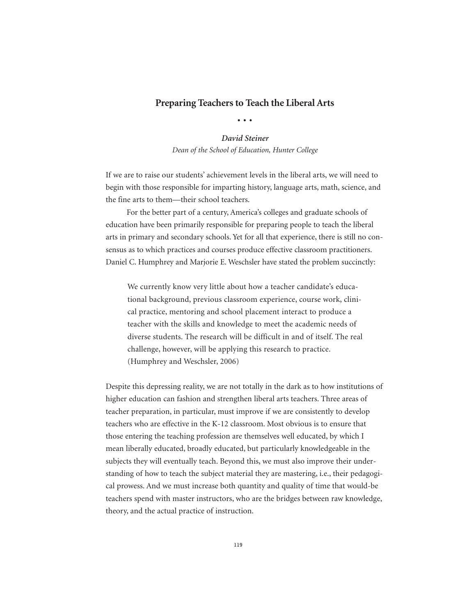# **Preparing Teachers to Teach the Liberal Arts**

•••

# *David Steiner*

*Dean of the School of Education, Hunter College*

If we are to raise our students' achievement levels in the liberal arts, we will need to begin with those responsible for imparting history, language arts, math, science, and the fine arts to them—their school teachers.

For the better part of a century, America's colleges and graduate schools of education have been primarily responsible for preparing people to teach the liberal arts in primary and secondary schools. Yet for all that experience, there is still no consensus as to which practices and courses produce effective classroom practitioners. Daniel C. Humphrey and Marjorie E. Weschsler have stated the problem succinctly:

We currently know very little about how a teacher candidate's educational background, previous classroom experience, course work, clinical practice, mentoring and school placement interact to produce a teacher with the skills and knowledge to meet the academic needs of diverse students. The research will be difficult in and of itself. The real challenge, however, will be applying this research to practice. (Humphrey and Weschsler, 2006)

Despite this depressing reality, we are not totally in the dark as to how institutions of higher education can fashion and strengthen liberal arts teachers. Three areas of teacher preparation, in particular, must improve if we are consistently to develop teachers who are effective in the K-12 classroom. Most obvious is to ensure that those entering the teaching profession are themselves well educated, by which I mean liberally educated, broadly educated, but particularly knowledgeable in the subjects they will eventually teach. Beyond this, we must also improve their understanding of how to teach the subject material they are mastering, i.e., their pedagogical prowess. And we must increase both quantity and quality of time that would-be teachers spend with master instructors, who are the bridges between raw knowledge, theory, and the actual practice of instruction.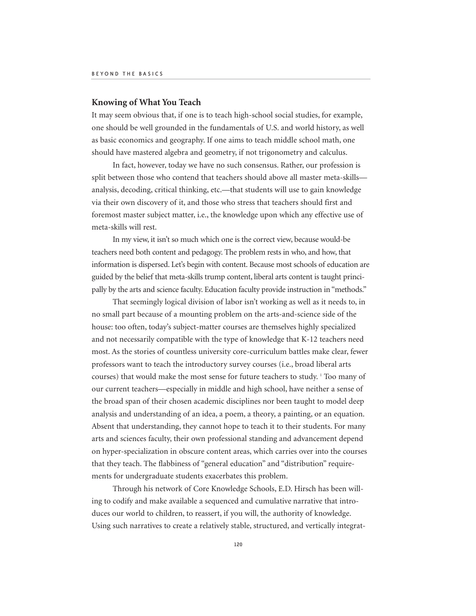### **Knowing of What You Teach**

It may seem obvious that, if one is to teach high-school social studies, for example, one should be well grounded in the fundamentals of U.S. and world history, as well as basic economics and geography. If one aims to teach middle school math, one should have mastered algebra and geometry, if not trigonometry and calculus.

In fact, however, today we have no such consensus. Rather, our profession is split between those who contend that teachers should above all master meta-skills analysis, decoding, critical thinking, etc.—that students will use to gain knowledge via their own discovery of it, and those who stress that teachers should first and foremost master subject matter, i.e., the knowledge upon which any effective use of meta-skills will rest.

In my view, it isn't so much which one is the correct view, because would-be teachers need both content and pedagogy. The problem rests in who, and how, that information is dispersed. Let's begin with content. Because most schools of education are guided by the belief that meta-skills trump content, liberal arts content is taught principally by the arts and science faculty. Education faculty provide instruction in "methods."

That seemingly logical division of labor isn't working as well as it needs to, in no small part because of a mounting problem on the arts-and-science side of the house: too often, today's subject-matter courses are themselves highly specialized and not necessarily compatible with the type of knowledge that K-12 teachers need most. As the stories of countless university core-curriculum battles make clear, fewer professors want to teach the introductory survey courses (i.e., broad liberal arts courses) that would make the most sense for future teachers to study. <sup>1</sup> Too many of our current teachers—especially in middle and high school, have neither a sense of the broad span of their chosen academic disciplines nor been taught to model deep analysis and understanding of an idea, a poem, a theory, a painting, or an equation. Absent that understanding, they cannot hope to teach it to their students. For many arts and sciences faculty, their own professional standing and advancement depend on hyper-specialization in obscure content areas, which carries over into the courses that they teach. The flabbiness of "general education" and "distribution" requirements for undergraduate students exacerbates this problem.

Through his network of Core Knowledge Schools, E.D. Hirsch has been willing to codify and make available a sequenced and cumulative narrative that introduces our world to children, to reassert, if you will, the authority of knowledge. Using such narratives to create a relatively stable, structured, and vertically integrat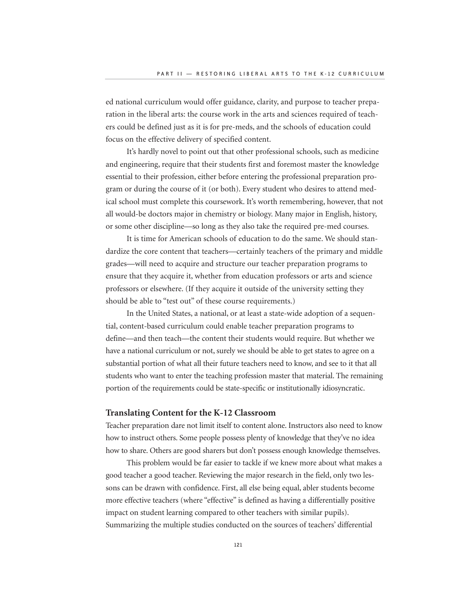ed national curriculum would offer guidance, clarity, and purpose to teacher preparation in the liberal arts: the course work in the arts and sciences required of teachers could be defined just as it is for pre-meds, and the schools of education could focus on the effective delivery of specified content.

It's hardly novel to point out that other professional schools, such as medicine and engineering, require that their students first and foremost master the knowledge essential to their profession, either before entering the professional preparation program or during the course of it (or both). Every student who desires to attend medical school must complete this coursework. It's worth remembering, however, that not all would-be doctors major in chemistry or biology. Many major in English, history, or some other discipline—so long as they also take the required pre-med courses.

It is time for American schools of education to do the same. We should standardize the core content that teachers—certainly teachers of the primary and middle grades—will need to acquire and structure our teacher preparation programs to ensure that they acquire it, whether from education professors or arts and science professors or elsewhere. (If they acquire it outside of the university setting they should be able to "test out" of these course requirements.)

In the United States, a national, or at least a state-wide adoption of a sequential, content-based curriculum could enable teacher preparation programs to define—and then teach—the content their students would require. But whether we have a national curriculum or not, surely we should be able to get states to agree on a substantial portion of what all their future teachers need to know, and see to it that all students who want to enter the teaching profession master that material. The remaining portion of the requirements could be state-specific or institutionally idiosyncratic.

## **Translating Content for the K-12 Classroom**

Teacher preparation dare not limit itself to content alone. Instructors also need to know how to instruct others. Some people possess plenty of knowledge that they've no idea how to share. Others are good sharers but don't possess enough knowledge themselves.

This problem would be far easier to tackle if we knew more about what makes a good teacher a good teacher. Reviewing the major research in the field, only two lessons can be drawn with confidence. First, all else being equal, abler students become more effective teachers (where "effective" is defined as having a differentially positive impact on student learning compared to other teachers with similar pupils). Summarizing the multiple studies conducted on the sources of teachers' differential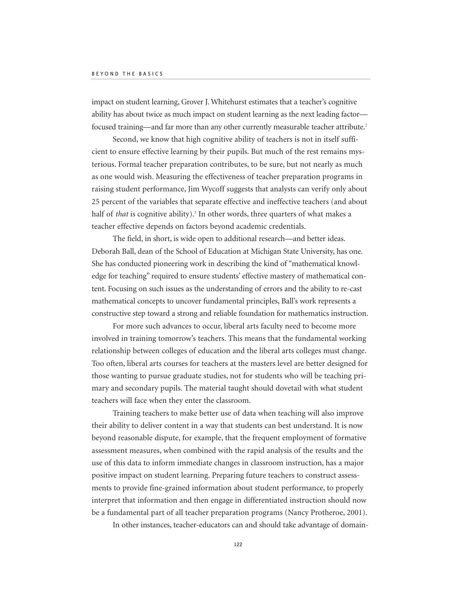impact on student learning, Grover J. Whitehurst estimates that a teacher's cognitive ability has about twice as much impact on student learning as the next leading factor focused training—and far more than any other currently measurable teacher attribute.<sup>2</sup>

Second, we know that high cognitive ability of teachers is not in itself sufficient to ensure effective learning by their pupils. But much of the rest remains mysterious. Formal teacher preparation contributes, to be sure, but not nearly as much as one would wish. Measuring the effectiveness of teacher preparation programs in raising student performance, Jim Wycoff suggests that analysts can verify only about 25 percent of the variables that separate effective and ineffective teachers (and about half of *that* is cognitive ability).<sup>3</sup> In other words, three quarters of what makes a teacher effective depends on factors beyond academic credentials.

The field, in short, is wide open to additional research—and better ideas. Deborah Ball, dean of the School of Education at Michigan State University, has one. She has conducted pioneering work in describing the kind of "mathematical knowledge for teaching" required to ensure students' effective mastery of mathematical content. Focusing on such issues as the understanding of errors and the ability to re-cast mathematical concepts to uncover fundamental principles, Ball's work represents a constructive step toward a strong and reliable foundation for mathematics instruction.

For more such advances to occur, liberal arts faculty need to become more involved in training tomorrow's teachers. This means that the fundamental working relationship between colleges of education and the liberal arts colleges must change. Too often, liberal arts courses for teachers at the masters level are better designed for those wanting to pursue graduate studies, not for students who will be teaching primary and secondary pupils. The material taught should dovetail with what student teachers will face when they enter the classroom.

Training teachers to make better use of data when teaching will also improve their ability to deliver content in a way that students can best understand. It is now beyond reasonable dispute, for example, that the frequent employment of formative assessment measures, when combined with the rapid analysis of the results and the use of this data to inform immediate changes in classroom instruction, has a major positive impact on student learning. Preparing future teachers to construct assessments to provide fine-grained information about student performance, to properly interpret that information and then engage in differentiated instruction should now be a fundamental part of all teacher preparation programs (Nancy Protheroe, 2001).

In other instances, teacher-educators can and should take advantage of domain-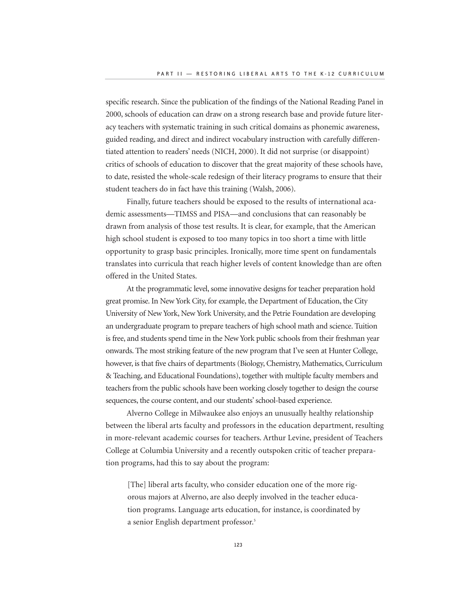specific research. Since the publication of the findings of the National Reading Panel in 2000, schools of education can draw on a strong research base and provide future literacy teachers with systematic training in such critical domains as phonemic awareness, guided reading, and direct and indirect vocabulary instruction with carefully differentiated attention to readers' needs (NICH, 2000). It did not surprise (or disappoint) critics of schools of education to discover that the great majority of these schools have, to date, resisted the whole-scale redesign of their literacy programs to ensure that their student teachers do in fact have this training (Walsh, 2006).

Finally, future teachers should be exposed to the results of international academic assessments—TIMSS and PISA—and conclusions that can reasonably be drawn from analysis of those test results. It is clear, for example, that the American high school student is exposed to too many topics in too short a time with little opportunity to grasp basic principles. Ironically, more time spent on fundamentals translates into curricula that reach higher levels of content knowledge than are often offered in the United States.

At the programmatic level, some innovative designs for teacher preparation hold great promise. In New York City, for example, the Department of Education, the City University of New York, New York University, and the Petrie Foundation are developing an undergraduate program to prepare teachers of high school math and science. Tuition is free, and students spend time in the New York public schools from their freshman year onwards. The most striking feature of the new program that I've seen at Hunter College, however, is that five chairs of departments (Biology, Chemistry, Mathematics, Curriculum & Teaching, and Educational Foundations), together with multiple faculty members and teachers from the public schools have been working closely together to design the course sequences, the course content, and our students' school-based experience.

Alverno College in Milwaukee also enjoys an unusually healthy relationship between the liberal arts faculty and professors in the education department, resulting in more-relevant academic courses for teachers. Arthur Levine, president of Teachers College at Columbia University and a recently outspoken critic of teacher preparation programs, had this to say about the program:

[The] liberal arts faculty, who consider education one of the more rigorous majors at Alverno, are also deeply involved in the teacher education programs. Language arts education, for instance, is coordinated by a senior English department professor.<sup>5</sup>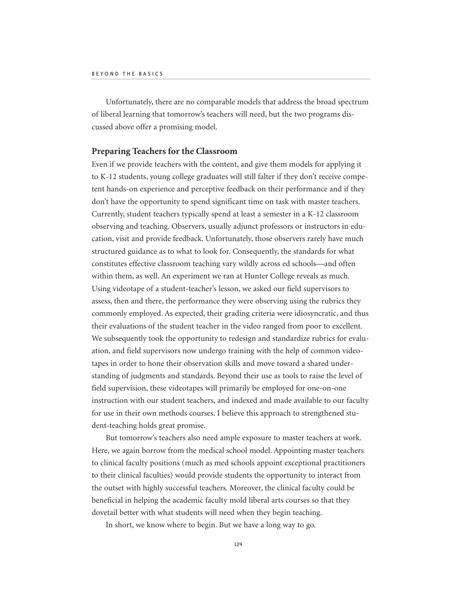Unfortunately, there are no comparable models that address the broad spectrum of liberal learning that tomorrow's teachers will need, but the two programs discussed above offer a promising model.

### **Preparing Teachers for the Classroom**

Even if we provide teachers with the content, and give them models for applying it to K-12 students, young college graduates will still falter if they don't receive competent hands-on experience and perceptive feedback on their performance and if they don't have the opportunity to spend significant time on task with master teachers. Currently, student teachers typically spend at least a semester in a K-12 classroom observing and teaching. Observers, usually adjunct professors or instructors in education, visit and provide feedback. Unfortunately, those observers rarely have much structured guidance as to what to look for. Consequently, the standards for what constitutes effective classroom teaching vary wildly across ed schools—and often within them, as well. An experiment we ran at Hunter College reveals as much. Using videotape of a student-teacher's lesson, we asked our field supervisors to assess, then and there, the performance they were observing using the rubrics they commonly employed. As expected, their grading criteria were idiosyncratic, and thus their evaluations of the student teacher in the video ranged from poor to excellent. We subsequently took the opportunity to redesign and standardize rubrics for evaluation, and field supervisors now undergo training with the help of common videotapes in order to hone their observation skills and move toward a shared understanding of judgments and standards. Beyond their use as tools to raise the level of field supervision, these videotapes will primarily be employed for one-on-one instruction with our student teachers, and indexed and made available to our faculty for use in their own methods courses. I believe this approach to strengthened student-teaching holds great promise.

But tomorrow's teachers also need ample exposure to master teachers at work. Here, we again borrow from the medical school model. Appointing master teachers to clinical faculty positions (much as med schools appoint exceptional practitioners to their clinical faculties) would provide students the opportunity to interact from the outset with highly successful teachers. Moreover, the clinical faculty could be beneficial in helping the academic faculty mold liberal arts courses so that they dovetail better with what students will need when they begin teaching.

In short, we know where to begin. But we have a long way to go.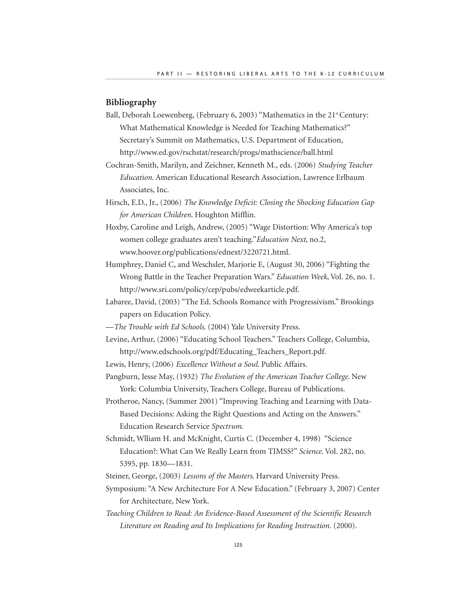# **Bibliography**

- Ball, Deborah Loewenberg, (February 6, 2003) "Mathematics in the 21<sup>st</sup> Century: What Mathematical Knowledge is Needed for Teaching Mathematics?" Secretary's Summit on Mathematics, U.S. Department of Education, http://www.ed.gov/rschstat/research/progs/mathscience/ball.html
- Cochran-Smith, Marilyn, and Zeichner, Kenneth M., eds. (2006) *Studying Teacher Education*. American Educational Research Association, Lawrence Erlbaum Associates, Inc.
- Hirsch, E.D., Jr., (2006) *The Knowledge Deficit: Closing the Shocking Education Gap for American Children*. Houghton Mifflin.
- Hoxby, Caroline and Leigh, Andrew, (2005) "Wage Distortion: Why America's top women college graduates aren't teaching."*Education Next*, no.2, www.hoover.org/publications/ednext/3220721.html.
- Humphrey, Daniel C, and Weschsler, Marjorie E, (August 30, 2006) "Fighting the Wrong Battle in the Teacher Preparation Wars." *Education Week*, Vol. 26, no. 1. http://www.sri.com/policy/cep/pubs/edweekarticle.pdf.
- Labaree, David, (2003) "The Ed. Schools Romance with Progressivism." Brookings papers on Education Policy.
- —*The Trouble with Ed Schools*. (2004) Yale University Press.
- Levine, Arthur, (2006) "Educating School Teachers." Teachers College, Columbia, http://www.edschools.org/pdf/Educating\_Teachers\_Report.pdf.
- Lewis, Henry, (2006) *Excellence Without a Soul*. Public Affairs.
- Pangburn, Jesse May, (1932) *The Evolution of the American Teacher College*. New York: Columbia University, Teachers College, Bureau of Publications.
- Protheroe, Nancy, (Summer 2001) "Improving Teaching and Learning with Data-Based Decisions: Asking the Right Questions and Acting on the Answers." Education Research Service *Spectrum*.
- Schmidt, Wlliam H. and McKnight, Curtis C. (December 4, 1998) "Science Education?: What Can We Really Learn from TIMSS?" *Science*. Vol. 282, no. 5395, pp. 1830—1831.
- Steiner, George, (2003) *Lessons of the Masters*. Harvard University Press.
- Symposium: "A New Architecture For A New Education." (February 3, 2007) Center for Architecture, New York.
- *Teaching Children to Read: An Evidence-Based Assessment of the Scientific Research Literature on Reading and Its Implications for Reading Instruction.* (2000).